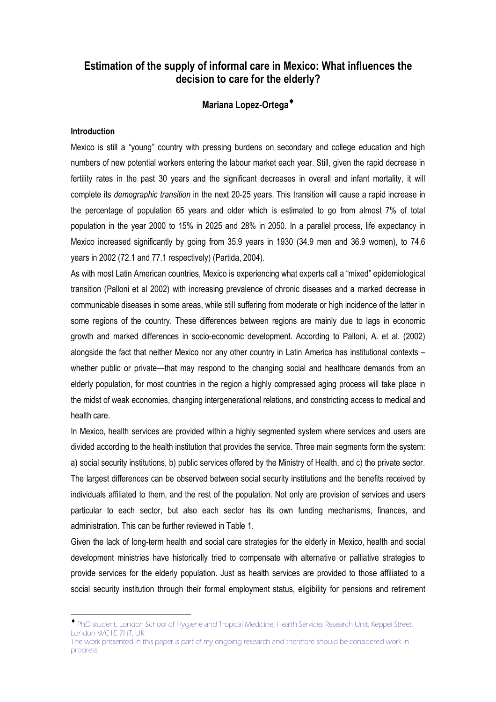# **Estimation of the supply of informal care in Mexico: What influences the decision to care for the elderly?**

# **Mariana Lopez-Ortega**♦

### **Introduction**

 $\overline{a}$ 

Mexico is still a "young" country with pressing burdens on secondary and college education and high numbers of new potential workers entering the labour market each year. Still, given the rapid decrease in fertility rates in the past 30 years and the significant decreases in overall and infant mortality, it will complete its *demographic transition* in the next 20-25 years. This transition will cause a rapid increase in the percentage of population 65 years and older which is estimated to go from almost 7% of total population in the year 2000 to 15% in 2025 and 28% in 2050. In a parallel process, life expectancy in Mexico increased significantly by going from 35.9 years in 1930 (34.9 men and 36.9 women), to 74.6 years in 2002 (72.1 and 77.1 respectively) (Partida, 2004).

As with most Latin American countries, Mexico is experiencing what experts call a "mixed" epidemiological transition (Palloni et al 2002) with increasing prevalence of chronic diseases and a marked decrease in communicable diseases in some areas, while still suffering from moderate or high incidence of the latter in some regions of the country. These differences between regions are mainly due to lags in economic growth and marked differences in socio-economic development. According to Palloni, A. et al. (2002) alongside the fact that neither Mexico nor any other country in Latin America has institutional contexts – whether public or private—that may respond to the changing social and healthcare demands from an elderly population, for most countries in the region a highly compressed aging process will take place in the midst of weak economies, changing intergenerational relations, and constricting access to medical and health care.

In Mexico, health services are provided within a highly segmented system where services and users are divided according to the health institution that provides the service. Three main segments form the system: a) social security institutions, b) public services offered by the Ministry of Health, and c) the private sector. The largest differences can be observed between social security institutions and the benefits received by individuals affiliated to them, and the rest of the population. Not only are provision of services and users particular to each sector, but also each sector has its own funding mechanisms, finances, and administration. This can be further reviewed in Table 1.

Given the lack of long-term health and social care strategies for the elderly in Mexico, health and social development ministries have historically tried to compensate with alternative or palliative strategies to provide services for the elderly population. Just as health services are provided to those affiliated to a social security institution through their formal employment status, eligibility for pensions and retirement

<sup>♦</sup> PhD student, London School of Hygiene and Tropical Medicine, Health Services Research Unit, Keppel Street, London WC1E 7HT, UK The work presented in this paper is part of my ongoing research and therefore should be considered work in

progress.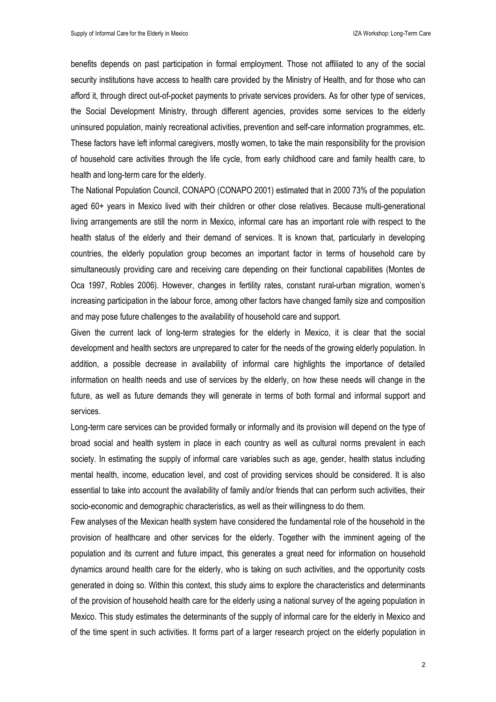benefits depends on past participation in formal employment. Those not affiliated to any of the social security institutions have access to health care provided by the Ministry of Health, and for those who can afford it, through direct out-of-pocket payments to private services providers. As for other type of services, the Social Development Ministry, through different agencies, provides some services to the elderly uninsured population, mainly recreational activities, prevention and self-care information programmes, etc. These factors have left informal caregivers, mostly women, to take the main responsibility for the provision of household care activities through the life cycle, from early childhood care and family health care, to health and long-term care for the elderly.

The National Population Council, CONAPO (CONAPO 2001) estimated that in 2000 73% of the population aged 60+ years in Mexico lived with their children or other close relatives. Because multi-generational living arrangements are still the norm in Mexico, informal care has an important role with respect to the health status of the elderly and their demand of services. It is known that, particularly in developing countries, the elderly population group becomes an important factor in terms of household care by simultaneously providing care and receiving care depending on their functional capabilities (Montes de Oca 1997, Robles 2006). However, changes in fertility rates, constant rural-urban migration, women's increasing participation in the labour force, among other factors have changed family size and composition and may pose future challenges to the availability of household care and support.

Given the current lack of long-term strategies for the elderly in Mexico, it is clear that the social development and health sectors are unprepared to cater for the needs of the growing elderly population. In addition, a possible decrease in availability of informal care highlights the importance of detailed information on health needs and use of services by the elderly, on how these needs will change in the future, as well as future demands they will generate in terms of both formal and informal support and services.

Long-term care services can be provided formally or informally and its provision will depend on the type of broad social and health system in place in each country as well as cultural norms prevalent in each society. In estimating the supply of informal care variables such as age, gender, health status including mental health, income, education level, and cost of providing services should be considered. It is also essential to take into account the availability of family and/or friends that can perform such activities, their socio-economic and demographic characteristics, as well as their willingness to do them.

Few analyses of the Mexican health system have considered the fundamental role of the household in the provision of healthcare and other services for the elderly. Together with the imminent ageing of the population and its current and future impact, this generates a great need for information on household dynamics around health care for the elderly, who is taking on such activities, and the opportunity costs generated in doing so. Within this context, this study aims to explore the characteristics and determinants of the provision of household health care for the elderly using a national survey of the ageing population in Mexico. This study estimates the determinants of the supply of informal care for the elderly in Mexico and of the time spent in such activities. It forms part of a larger research project on the elderly population in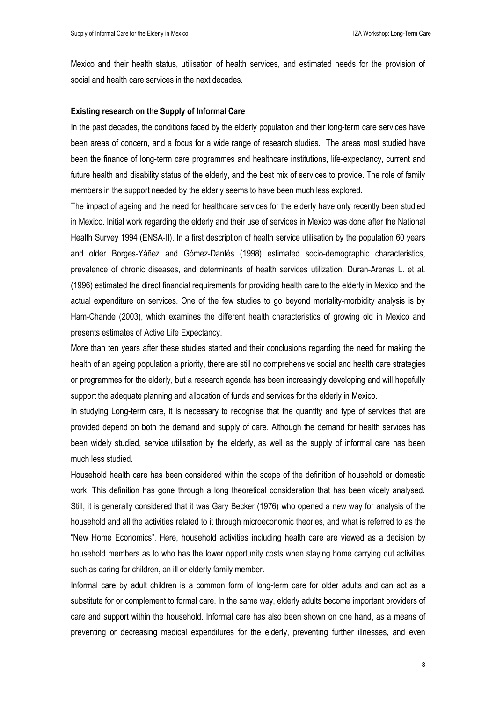Mexico and their health status, utilisation of health services, and estimated needs for the provision of social and health care services in the next decades.

#### **Existing research on the Supply of Informal Care**

In the past decades, the conditions faced by the elderly population and their long-term care services have been areas of concern, and a focus for a wide range of research studies. The areas most studied have been the finance of long-term care programmes and healthcare institutions, life-expectancy, current and future health and disability status of the elderly, and the best mix of services to provide. The role of family members in the support needed by the elderly seems to have been much less explored.

The impact of ageing and the need for healthcare services for the elderly have only recently been studied in Mexico. Initial work regarding the elderly and their use of services in Mexico was done after the National Health Survey 1994 (ENSA-II). In a first description of health service utilisation by the population 60 years and older Borges-Yáñez and Gómez-Dantés (1998) estimated socio-demographic characteristics, prevalence of chronic diseases, and determinants of health services utilization. Duran-Arenas L. et al. (1996) estimated the direct financial requirements for providing health care to the elderly in Mexico and the actual expenditure on services. One of the few studies to go beyond mortality-morbidity analysis is by Ham-Chande (2003), which examines the different health characteristics of growing old in Mexico and presents estimates of Active Life Expectancy.

More than ten years after these studies started and their conclusions regarding the need for making the health of an ageing population a priority, there are still no comprehensive social and health care strategies or programmes for the elderly, but a research agenda has been increasingly developing and will hopefully support the adequate planning and allocation of funds and services for the elderly in Mexico.

In studying Long-term care, it is necessary to recognise that the quantity and type of services that are provided depend on both the demand and supply of care. Although the demand for health services has been widely studied, service utilisation by the elderly, as well as the supply of informal care has been much less studied.

Household health care has been considered within the scope of the definition of household or domestic work. This definition has gone through a long theoretical consideration that has been widely analysed. Still, it is generally considered that it was Gary Becker (1976) who opened a new way for analysis of the household and all the activities related to it through microeconomic theories, and what is referred to as the "New Home Economics". Here, household activities including health care are viewed as a decision by household members as to who has the lower opportunity costs when staying home carrying out activities such as caring for children, an ill or elderly family member.

Informal care by adult children is a common form of long-term care for older adults and can act as a substitute for or complement to formal care. In the same way, elderly adults become important providers of care and support within the household. Informal care has also been shown on one hand, as a means of preventing or decreasing medical expenditures for the elderly, preventing further illnesses, and even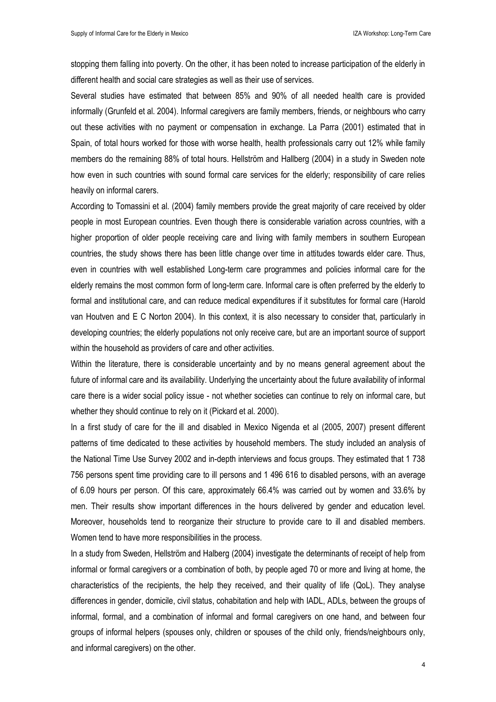stopping them falling into poverty. On the other, it has been noted to increase participation of the elderly in different health and social care strategies as well as their use of services.

Several studies have estimated that between 85% and 90% of all needed health care is provided informally (Grunfeld et al. 2004). Informal caregivers are family members, friends, or neighbours who carry out these activities with no payment or compensation in exchange. La Parra (2001) estimated that in Spain, of total hours worked for those with worse health, health professionals carry out 12% while family members do the remaining 88% of total hours. Hellström and Hallberg (2004) in a study in Sweden note how even in such countries with sound formal care services for the elderly; responsibility of care relies heavily on informal carers.

According to Tomassini et al. (2004) family members provide the great majority of care received by older people in most European countries. Even though there is considerable variation across countries, with a higher proportion of older people receiving care and living with family members in southern European countries, the study shows there has been little change over time in attitudes towards elder care. Thus, even in countries with well established Long-term care programmes and policies informal care for the elderly remains the most common form of long-term care. Informal care is often preferred by the elderly to formal and institutional care, and can reduce medical expenditures if it substitutes for formal care (Harold van Houtven and E C Norton 2004). In this context, it is also necessary to consider that, particularly in developing countries; the elderly populations not only receive care, but are an important source of support within the household as providers of care and other activities.

Within the literature, there is considerable uncertainty and by no means general agreement about the future of informal care and its availability. Underlying the uncertainty about the future availability of informal care there is a wider social policy issue - not whether societies can continue to rely on informal care, but whether they should continue to rely on it (Pickard et al. 2000).

In a first study of care for the ill and disabled in Mexico Nigenda et al (2005, 2007) present different patterns of time dedicated to these activities by household members. The study included an analysis of the National Time Use Survey 2002 and in-depth interviews and focus groups. They estimated that 1 738 756 persons spent time providing care to ill persons and 1 496 616 to disabled persons, with an average of 6.09 hours per person. Of this care, approximately 66.4% was carried out by women and 33.6% by men. Their results show important differences in the hours delivered by gender and education level. Moreover, households tend to reorganize their structure to provide care to ill and disabled members. Women tend to have more responsibilities in the process.

In a study from Sweden, Hellström and Halberg (2004) investigate the determinants of receipt of help from informal or formal caregivers or a combination of both, by people aged 70 or more and living at home, the characteristics of the recipients, the help they received, and their quality of life (QoL). They analyse differences in gender, domicile, civil status, cohabitation and help with IADL, ADLs, between the groups of informal, formal, and a combination of informal and formal caregivers on one hand, and between four groups of informal helpers (spouses only, children or spouses of the child only, friends/neighbours only, and informal caregivers) on the other.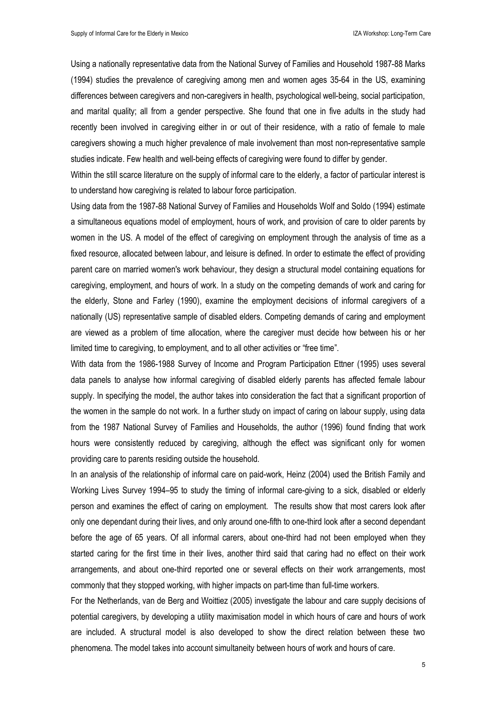Using a nationally representative data from the National Survey of Families and Household 1987-88 Marks (1994) studies the prevalence of caregiving among men and women ages 35-64 in the US, examining differences between caregivers and non-caregivers in health, psychological well-being, social participation, and marital quality; all from a gender perspective. She found that one in five adults in the study had recently been involved in caregiving either in or out of their residence, with a ratio of female to male caregivers showing a much higher prevalence of male involvement than most non-representative sample studies indicate. Few health and well-being effects of caregiving were found to differ by gender.

Within the still scarce literature on the supply of informal care to the elderly, a factor of particular interest is to understand how caregiving is related to labour force participation.

Using data from the 1987-88 National Survey of Families and Households Wolf and Soldo (1994) estimate a simultaneous equations model of employment, hours of work, and provision of care to older parents by women in the US. A model of the effect of caregiving on employment through the analysis of time as a fixed resource, allocated between labour, and leisure is defined. In order to estimate the effect of providing parent care on married women's work behaviour, they design a structural model containing equations for caregiving, employment, and hours of work. In a study on the competing demands of work and caring for the elderly, Stone and Farley (1990), examine the employment decisions of informal caregivers of a nationally (US) representative sample of disabled elders. Competing demands of caring and employment are viewed as a problem of time allocation, where the caregiver must decide how between his or her limited time to caregiving, to employment, and to all other activities or "free time".

With data from the 1986-1988 Survey of Income and Program Participation Ettner (1995) uses several data panels to analyse how informal caregiving of disabled elderly parents has affected female labour supply. In specifying the model, the author takes into consideration the fact that a significant proportion of the women in the sample do not work. In a further study on impact of caring on labour supply, using data from the 1987 National Survey of Families and Households, the author (1996) found finding that work hours were consistently reduced by caregiving, although the effect was significant only for women providing care to parents residing outside the household.

In an analysis of the relationship of informal care on paid-work, Heinz (2004) used the British Family and Working Lives Survey 1994–95 to study the timing of informal care-giving to a sick, disabled or elderly person and examines the effect of caring on employment. The results show that most carers look after only one dependant during their lives, and only around one-fifth to one-third look after a second dependant before the age of 65 years. Of all informal carers, about one-third had not been employed when they started caring for the first time in their lives, another third said that caring had no effect on their work arrangements, and about one-third reported one or several effects on their work arrangements, most commonly that they stopped working, with higher impacts on part-time than full-time workers.

For the Netherlands, van de Berg and Woittiez (2005) investigate the labour and care supply decisions of potential caregivers, by developing a utility maximisation model in which hours of care and hours of work are included. A structural model is also developed to show the direct relation between these two phenomena. The model takes into account simultaneity between hours of work and hours of care.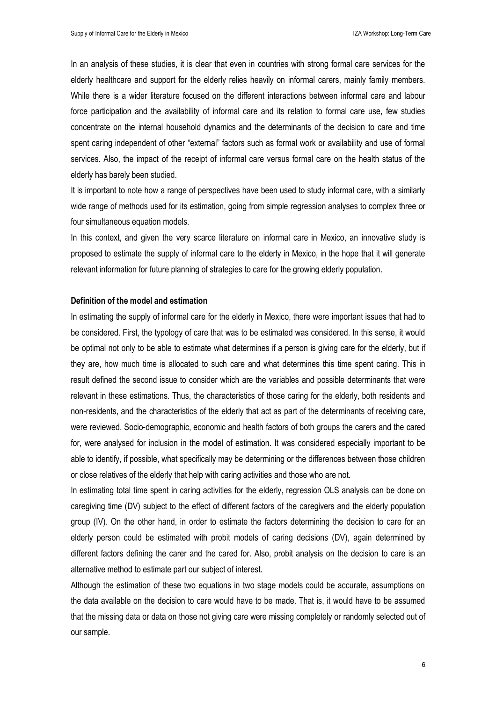In an analysis of these studies, it is clear that even in countries with strong formal care services for the elderly healthcare and support for the elderly relies heavily on informal carers, mainly family members. While there is a wider literature focused on the different interactions between informal care and labour force participation and the availability of informal care and its relation to formal care use, few studies concentrate on the internal household dynamics and the determinants of the decision to care and time spent caring independent of other "external" factors such as formal work or availability and use of formal services. Also, the impact of the receipt of informal care versus formal care on the health status of the elderly has barely been studied.

It is important to note how a range of perspectives have been used to study informal care, with a similarly wide range of methods used for its estimation, going from simple regression analyses to complex three or four simultaneous equation models.

In this context, and given the very scarce literature on informal care in Mexico, an innovative study is proposed to estimate the supply of informal care to the elderly in Mexico, in the hope that it will generate relevant information for future planning of strategies to care for the growing elderly population.

#### **Definition of the model and estimation**

In estimating the supply of informal care for the elderly in Mexico, there were important issues that had to be considered. First, the typology of care that was to be estimated was considered. In this sense, it would be optimal not only to be able to estimate what determines if a person is giving care for the elderly, but if they are, how much time is allocated to such care and what determines this time spent caring. This in result defined the second issue to consider which are the variables and possible determinants that were relevant in these estimations. Thus, the characteristics of those caring for the elderly, both residents and non-residents, and the characteristics of the elderly that act as part of the determinants of receiving care, were reviewed. Socio-demographic, economic and health factors of both groups the carers and the cared for, were analysed for inclusion in the model of estimation. It was considered especially important to be able to identify, if possible, what specifically may be determining or the differences between those children or close relatives of the elderly that help with caring activities and those who are not.

In estimating total time spent in caring activities for the elderly, regression OLS analysis can be done on caregiving time (DV) subject to the effect of different factors of the caregivers and the elderly population group (IV). On the other hand, in order to estimate the factors determining the decision to care for an elderly person could be estimated with probit models of caring decisions (DV), again determined by different factors defining the carer and the cared for. Also, probit analysis on the decision to care is an alternative method to estimate part our subject of interest.

Although the estimation of these two equations in two stage models could be accurate, assumptions on the data available on the decision to care would have to be made. That is, it would have to be assumed that the missing data or data on those not giving care were missing completely or randomly selected out of our sample.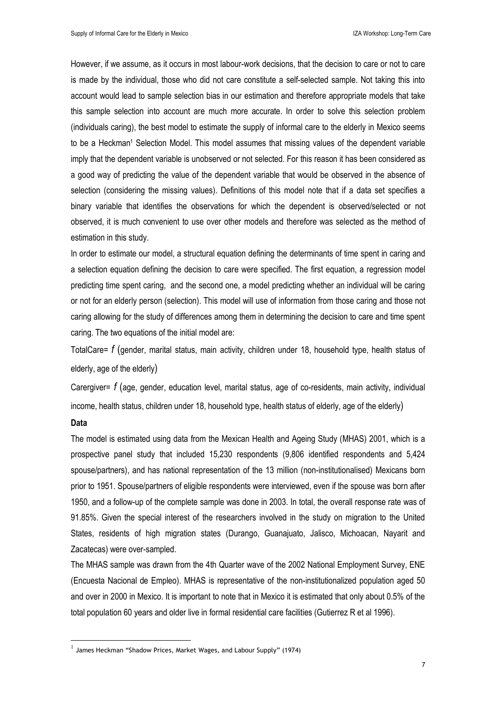However, if we assume, as it occurs in most labour-work decisions, that the decision to care or not to care is made by the individual, those who did not care constitute a self-selected sample. Not taking this into account would lead to sample selection bias in our estimation and therefore appropriate models that take this sample selection into account are much more accurate. In order to solve this selection problem (individuals caring), the best model to estimate the supply of informal care to the elderly in Mexico seems to be a Heckman<sup>1</sup> Selection Model. This model assumes that missing values of the dependent variable imply that the dependent variable is unobserved or not selected. For this reason it has been considered as a good way of predicting the value of the dependent variable that would be observed in the absence of selection (considering the missing values). Definitions of this model note that if a data set specifies a binary variable that identifies the observations for which the dependent is observed/selected or not observed, it is much convenient to use over other models and therefore was selected as the method of estimation in this study.

In order to estimate our model, a structural equation defining the determinants of time spent in caring and a selection equation defining the decision to care were specified. The first equation, a regression model predicting time spent caring, and the second one, a model predicting whether an individual will be caring or not for an elderly person (selection). This model will use of information from those caring and those not caring allowing for the study of differences among them in determining the decision to care and time spent caring. The two equations of the initial model are:

TotalCare= *f* (gender, marital status, main activity, children under 18, household type, health status of elderly, age of the elderly)

Carergiver= *f* (age, gender, education level, marital status, age of co-residents, main activity, individual income, health status, children under 18, household type, health status of elderly, age of the elderly)

## **Data**

 $\overline{a}$ 

The model is estimated using data from the Mexican Health and Ageing Study (MHAS) 2001, which is a prospective panel study that included 15,230 respondents (9,806 identified respondents and 5,424 spouse/partners), and has national representation of the 13 million (non-institutionalised) Mexicans born prior to 1951. Spouse/partners of eligible respondents were interviewed, even if the spouse was born after 1950, and a follow-up of the complete sample was done in 2003. In total, the overall response rate was of 91.85%. Given the special interest of the researchers involved in the study on migration to the United States, residents of high migration states (Durango, Guanajuato, Jalisco, Michoacan, Nayarit and Zacatecas) were over-sampled.

The MHAS sample was drawn from the 4th Quarter wave of the 2002 National Employment Survey, ENE (Encuesta Nacional de Empleo). MHAS is representative of the non-institutionalized population aged 50 and over in 2000 in Mexico. It is important to note that in Mexico it is estimated that only about 0.5% of the total population 60 years and older live in formal residential care facilities (Gutierrez R et al 1996).

 $<sup>1</sup>$  James Heckman "Shadow Prices, Market Wages, and Labour Supply" (1974)</sup>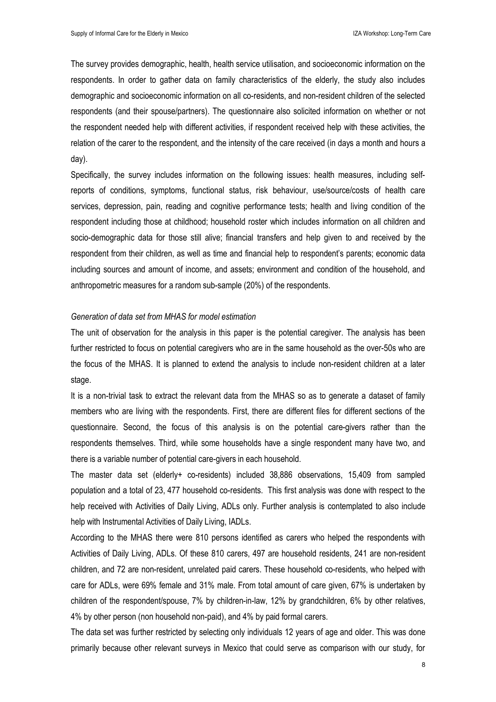The survey provides demographic, health, health service utilisation, and socioeconomic information on the respondents. In order to gather data on family characteristics of the elderly, the study also includes demographic and socioeconomic information on all co-residents, and non-resident children of the selected respondents (and their spouse/partners). The questionnaire also solicited information on whether or not the respondent needed help with different activities, if respondent received help with these activities, the relation of the carer to the respondent, and the intensity of the care received (in days a month and hours a day).

Specifically, the survey includes information on the following issues: health measures, including selfreports of conditions, symptoms, functional status, risk behaviour, use/source/costs of health care services, depression, pain, reading and cognitive performance tests; health and living condition of the respondent including those at childhood; household roster which includes information on all children and socio-demographic data for those still alive; financial transfers and help given to and received by the respondent from their children, as well as time and financial help to respondent's parents; economic data including sources and amount of income, and assets; environment and condition of the household, and anthropometric measures for a random sub-sample (20%) of the respondents.

### *Generation of data set from MHAS for model estimation*

The unit of observation for the analysis in this paper is the potential caregiver. The analysis has been further restricted to focus on potential caregivers who are in the same household as the over-50s who are the focus of the MHAS. It is planned to extend the analysis to include non-resident children at a later stage.

It is a non-trivial task to extract the relevant data from the MHAS so as to generate a dataset of family members who are living with the respondents. First, there are different files for different sections of the questionnaire. Second, the focus of this analysis is on the potential care-givers rather than the respondents themselves. Third, while some households have a single respondent many have two, and there is a variable number of potential care-givers in each household.

The master data set (elderly+ co-residents) included 38,886 observations, 15,409 from sampled population and a total of 23, 477 household co-residents. This first analysis was done with respect to the help received with Activities of Daily Living, ADLs only. Further analysis is contemplated to also include help with Instrumental Activities of Daily Living, IADLs.

According to the MHAS there were 810 persons identified as carers who helped the respondents with Activities of Daily Living, ADLs. Of these 810 carers, 497 are household residents, 241 are non-resident children, and 72 are non-resident, unrelated paid carers. These household co-residents, who helped with care for ADLs, were 69% female and 31% male. From total amount of care given, 67% is undertaken by children of the respondent/spouse, 7% by children-in-law, 12% by grandchildren, 6% by other relatives, 4% by other person (non household non-paid), and 4% by paid formal carers.

The data set was further restricted by selecting only individuals 12 years of age and older. This was done primarily because other relevant surveys in Mexico that could serve as comparison with our study, for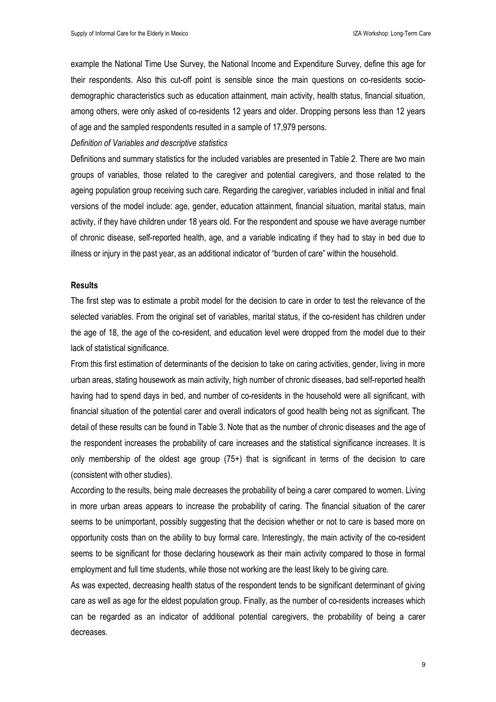example the National Time Use Survey, the National Income and Expenditure Survey, define this age for their respondents. Also this cut-off point is sensible since the main questions on co-residents sociodemographic characteristics such as education attainment, main activity, health status, financial situation, among others, were only asked of co-residents 12 years and older. Dropping persons less than 12 years of age and the sampled respondents resulted in a sample of 17,979 persons.

*Definition of Variables and descriptive statistics* 

Definitions and summary statistics for the included variables are presented in Table 2. There are two main groups of variables, those related to the caregiver and potential caregivers, and those related to the ageing population group receiving such care. Regarding the caregiver, variables included in initial and final versions of the model include: age, gender, education attainment, financial situation, marital status, main activity, if they have children under 18 years old. For the respondent and spouse we have average number of chronic disease, self-reported health, age, and a variable indicating if they had to stay in bed due to illness or injury in the past year, as an additional indicator of "burden of care" within the household.

#### **Results**

The first step was to estimate a probit model for the decision to care in order to test the relevance of the selected variables. From the original set of variables, marital status, if the co-resident has children under the age of 18, the age of the co-resident, and education level were dropped from the model due to their lack of statistical significance.

From this first estimation of determinants of the decision to take on caring activities, gender, living in more urban areas, stating housework as main activity, high number of chronic diseases, bad self-reported health having had to spend days in bed, and number of co-residents in the household were all significant, with financial situation of the potential carer and overall indicators of good health being not as significant. The detail of these results can be found in Table 3. Note that as the number of chronic diseases and the age of the respondent increases the probability of care increases and the statistical significance increases. It is only membership of the oldest age group (75+) that is significant in terms of the decision to care (consistent with other studies).

According to the results, being male decreases the probability of being a carer compared to women. Living in more urban areas appears to increase the probability of caring. The financial situation of the carer seems to be unimportant, possibly suggesting that the decision whether or not to care is based more on opportunity costs than on the ability to buy formal care. Interestingly, the main activity of the co-resident seems to be significant for those declaring housework as their main activity compared to those in formal employment and full time students, while those not working are the least likely to be giving care.

As was expected, decreasing health status of the respondent tends to be significant determinant of giving care as well as age for the eldest population group. Finally, as the number of co-residents increases which can be regarded as an indicator of additional potential caregivers, the probability of being a carer decreases.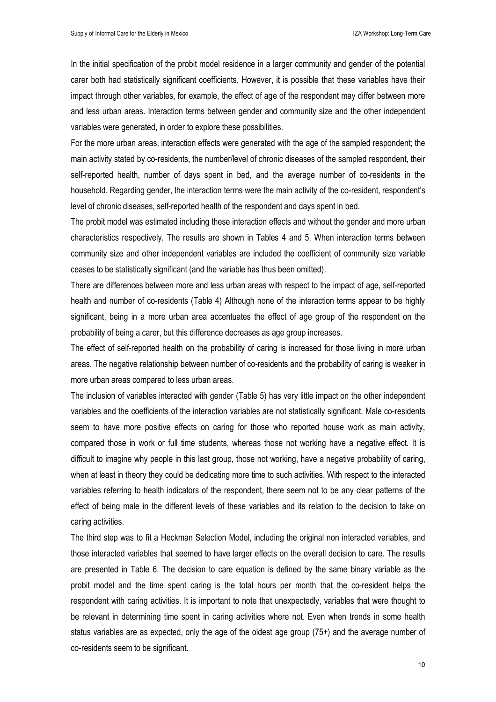In the initial specification of the probit model residence in a larger community and gender of the potential carer both had statistically significant coefficients. However, it is possible that these variables have their impact through other variables, for example, the effect of age of the respondent may differ between more and less urban areas. Interaction terms between gender and community size and the other independent variables were generated, in order to explore these possibilities.

For the more urban areas, interaction effects were generated with the age of the sampled respondent; the main activity stated by co-residents, the number/level of chronic diseases of the sampled respondent, their self-reported health, number of days spent in bed, and the average number of co-residents in the household. Regarding gender, the interaction terms were the main activity of the co-resident, respondent's level of chronic diseases, self-reported health of the respondent and days spent in bed.

The probit model was estimated including these interaction effects and without the gender and more urban characteristics respectively. The results are shown in Tables 4 and 5. When interaction terms between community size and other independent variables are included the coefficient of community size variable ceases to be statistically significant (and the variable has thus been omitted).

There are differences between more and less urban areas with respect to the impact of age, self-reported health and number of co-residents (Table 4) Although none of the interaction terms appear to be highly significant, being in a more urban area accentuates the effect of age group of the respondent on the probability of being a carer, but this difference decreases as age group increases.

The effect of self-reported health on the probability of caring is increased for those living in more urban areas. The negative relationship between number of co-residents and the probability of caring is weaker in more urban areas compared to less urban areas.

The inclusion of variables interacted with gender (Table 5) has very little impact on the other independent variables and the coefficients of the interaction variables are not statistically significant. Male co-residents seem to have more positive effects on caring for those who reported house work as main activity, compared those in work or full time students, whereas those not working have a negative effect. It is difficult to imagine why people in this last group, those not working, have a negative probability of caring, when at least in theory they could be dedicating more time to such activities. With respect to the interacted variables referring to health indicators of the respondent, there seem not to be any clear patterns of the effect of being male in the different levels of these variables and its relation to the decision to take on caring activities.

The third step was to fit a Heckman Selection Model, including the original non interacted variables, and those interacted variables that seemed to have larger effects on the overall decision to care. The results are presented in Table 6. The decision to care equation is defined by the same binary variable as the probit model and the time spent caring is the total hours per month that the co-resident helps the respondent with caring activities. It is important to note that unexpectedly, variables that were thought to be relevant in determining time spent in caring activities where not. Even when trends in some health status variables are as expected, only the age of the oldest age group (75+) and the average number of co-residents seem to be significant.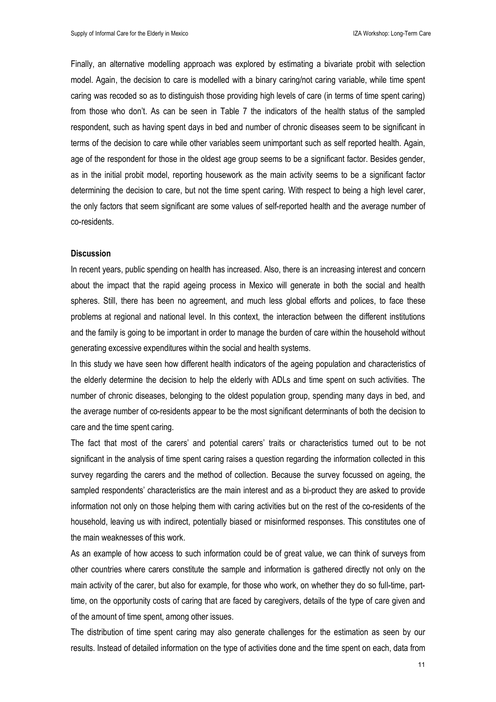Finally, an alternative modelling approach was explored by estimating a bivariate probit with selection model. Again, the decision to care is modelled with a binary caring/not caring variable, while time spent caring was recoded so as to distinguish those providing high levels of care (in terms of time spent caring) from those who don't. As can be seen in Table 7 the indicators of the health status of the sampled respondent, such as having spent days in bed and number of chronic diseases seem to be significant in terms of the decision to care while other variables seem unimportant such as self reported health. Again, age of the respondent for those in the oldest age group seems to be a significant factor. Besides gender, as in the initial probit model, reporting housework as the main activity seems to be a significant factor determining the decision to care, but not the time spent caring. With respect to being a high level carer, the only factors that seem significant are some values of self-reported health and the average number of co-residents.

### **Discussion**

In recent years, public spending on health has increased. Also, there is an increasing interest and concern about the impact that the rapid ageing process in Mexico will generate in both the social and health spheres. Still, there has been no agreement, and much less global efforts and polices, to face these problems at regional and national level. In this context, the interaction between the different institutions and the family is going to be important in order to manage the burden of care within the household without generating excessive expenditures within the social and health systems.

In this study we have seen how different health indicators of the ageing population and characteristics of the elderly determine the decision to help the elderly with ADLs and time spent on such activities. The number of chronic diseases, belonging to the oldest population group, spending many days in bed, and the average number of co-residents appear to be the most significant determinants of both the decision to care and the time spent caring.

The fact that most of the carers' and potential carers' traits or characteristics turned out to be not significant in the analysis of time spent caring raises a question regarding the information collected in this survey regarding the carers and the method of collection. Because the survey focussed on ageing, the sampled respondents' characteristics are the main interest and as a bi-product they are asked to provide information not only on those helping them with caring activities but on the rest of the co-residents of the household, leaving us with indirect, potentially biased or misinformed responses. This constitutes one of the main weaknesses of this work.

As an example of how access to such information could be of great value, we can think of surveys from other countries where carers constitute the sample and information is gathered directly not only on the main activity of the carer, but also for example, for those who work, on whether they do so full-time, parttime, on the opportunity costs of caring that are faced by caregivers, details of the type of care given and of the amount of time spent, among other issues.

The distribution of time spent caring may also generate challenges for the estimation as seen by our results. Instead of detailed information on the type of activities done and the time spent on each, data from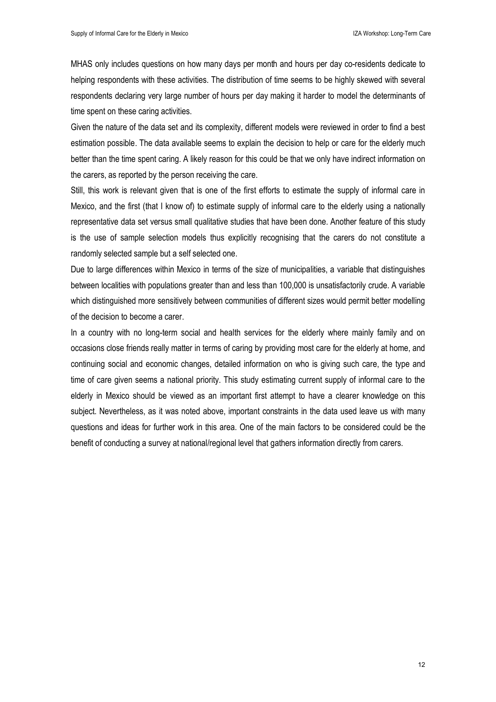MHAS only includes questions on how many days per month and hours per day co-residents dedicate to helping respondents with these activities. The distribution of time seems to be highly skewed with several respondents declaring very large number of hours per day making it harder to model the determinants of time spent on these caring activities.

Given the nature of the data set and its complexity, different models were reviewed in order to find a best estimation possible. The data available seems to explain the decision to help or care for the elderly much better than the time spent caring. A likely reason for this could be that we only have indirect information on the carers, as reported by the person receiving the care.

Still, this work is relevant given that is one of the first efforts to estimate the supply of informal care in Mexico, and the first (that I know of) to estimate supply of informal care to the elderly using a nationally representative data set versus small qualitative studies that have been done. Another feature of this study is the use of sample selection models thus explicitly recognising that the carers do not constitute a randomly selected sample but a self selected one.

Due to large differences within Mexico in terms of the size of municipalities, a variable that distinguishes between localities with populations greater than and less than 100,000 is unsatisfactorily crude. A variable which distinguished more sensitively between communities of different sizes would permit better modelling of the decision to become a carer.

In a country with no long-term social and health services for the elderly where mainly family and on occasions close friends really matter in terms of caring by providing most care for the elderly at home, and continuing social and economic changes, detailed information on who is giving such care, the type and time of care given seems a national priority. This study estimating current supply of informal care to the elderly in Mexico should be viewed as an important first attempt to have a clearer knowledge on this subject. Nevertheless, as it was noted above, important constraints in the data used leave us with many questions and ideas for further work in this area. One of the main factors to be considered could be the benefit of conducting a survey at national/regional level that gathers information directly from carers.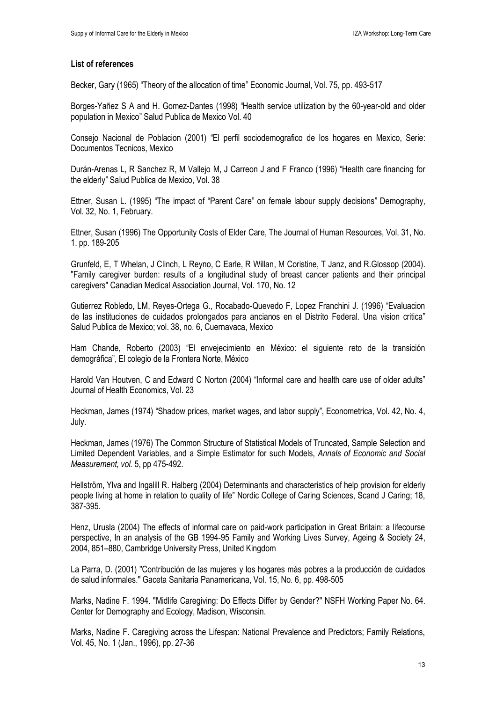# **List of references**

Becker, Gary (1965) "Theory of the allocation of time" Economic Journal, Vol. 75, pp. 493-517

Borges-Yañez S A and H. Gomez-Dantes (1998) "Health service utilization by the 60-year-old and older population in Mexico" Salud Publica de Mexico Vol. 40

Consejo Nacional de Poblacion (2001) "El perfil sociodemografico de los hogares en Mexico, Serie: Documentos Tecnicos, Mexico

Durán-Arenas L, R Sanchez R, M Vallejo M, J Carreon J and F Franco (1996) "Health care financing for the elderly" Salud Publica de Mexico, Vol. 38

Ettner, Susan L. (1995) "The impact of "Parent Care" on female labour supply decisions" Demography, Vol. 32, No. 1, February.

Ettner, Susan (1996) The Opportunity Costs of Elder Care, The Journal of Human Resources, Vol. 31, No. 1. pp. 189-205

Grunfeld, E, T Whelan, J Clinch, L Reyno, C Earle, R Willan, M Coristine, T Janz, and R.Glossop (2004). "Family caregiver burden: results of a longitudinal study of breast cancer patients and their principal caregivers" Canadian Medical Association Journal, Vol. 170, No. 12

Gutierrez Robledo, LM, Reyes-Ortega G., Rocabado-Quevedo F, Lopez Franchini J. (1996) "Evaluacion de las instituciones de cuidados prolongados para ancianos en el Distrito Federal. Una vision critica" Salud Publica de Mexico; vol. 38, no. 6, Cuernavaca, Mexico

Ham Chande, Roberto (2003) "El envejecimiento en México: el siguiente reto de la transición demográfica", El colegio de la Frontera Norte, México

Harold Van Houtven, C and Edward C Norton (2004) "Informal care and health care use of older adults" Journal of Health Economics, Vol. 23

Heckman, James (1974) "Shadow prices, market wages, and labor supply", Econometrica, Vol. 42, No. 4, July.

Heckman, James (1976) The Common Structure of Statistical Models of Truncated, Sample Selection and Limited Dependent Variables, and a Simple Estimator for such Models, *Annals of Economic and Social Measurement, vol.* 5, pp 475-492.

Hellström, Ylva and Ingalill R. Halberg (2004) Determinants and characteristics of help provision for elderly people living at home in relation to quality of life" Nordic College of Caring Sciences, Scand J Caring; 18, 387-395.

Henz, Urusla (2004) The effects of informal care on paid-work participation in Great Britain: a lifecourse perspective, In an analysis of the GB 1994-95 Family and Working Lives Survey, Ageing & Society 24, 2004, 851–880, Cambridge University Press, United Kingdom

La Parra, D. (2001) "Contribución de las mujeres y los hogares más pobres a la producción de cuidados de salud informales." Gaceta Sanitaria Panamericana, Vol. 15, No. 6, pp. 498-505

Marks, Nadine F. 1994. "Midlife Caregiving: Do Effects Differ by Gender?" NSFH Working Paper No. 64. Center for Demography and Ecology, Madison, Wisconsin.

Marks, Nadine F. Caregiving across the Lifespan: National Prevalence and Predictors; Family Relations, Vol. 45, No. 1 (Jan., 1996), pp. 27-36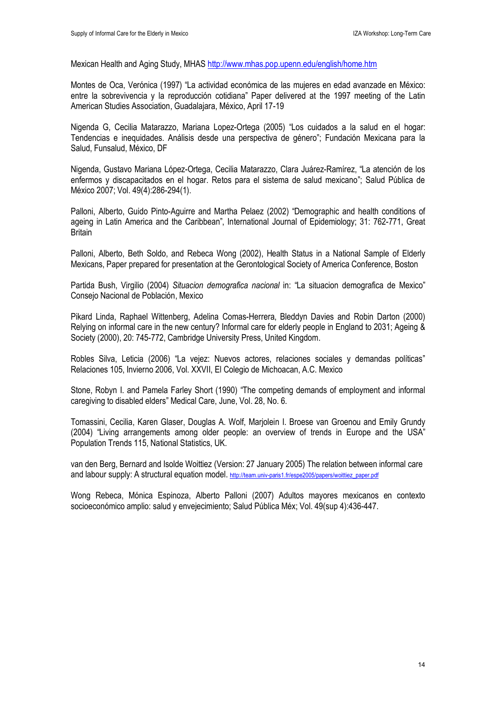Mexican Health and Aging Study, MHAS http://www.mhas.pop.upenn.edu/english/home.htm

Montes de Oca, Verónica (1997) "La actividad económica de las mujeres en edad avanzade en México: entre la sobrevivencia y la reproducción cotidiana" Paper delivered at the 1997 meeting of the Latin American Studies Association, Guadalajara, México, April 17-19

Nigenda G, Cecilia Matarazzo, Mariana Lopez-Ortega (2005) "Los cuidados a la salud en el hogar: Tendencias e inequidades. Análisis desde una perspectiva de género"; Fundación Mexicana para la Salud, Funsalud, México, DF

Nigenda, Gustavo Mariana López-Ortega, Cecilia Matarazzo, Clara Juárez-Ramírez, "La atención de los enfermos y discapacitados en el hogar. Retos para el sistema de salud mexicano"; Salud Pública de México 2007; Vol. 49(4):286-294(1).

Palloni, Alberto, Guido Pinto-Aguirre and Martha Pelaez (2002) "Demographic and health conditions of ageing in Latin America and the Caribbean", International Journal of Epidemiology; 31: 762-771, Great **Britain** 

Palloni, Alberto, Beth Soldo, and Rebeca Wong (2002), Health Status in a National Sample of Elderly Mexicans, Paper prepared for presentation at the Gerontological Society of America Conference, Boston

Partida Bush, Virgilio (2004) *Situacion demografica nacional* in: "La situacion demografica de Mexico" Consejo Nacional de Población, Mexico

Pikard Linda, Raphael Wittenberg, Adelina Comas-Herrera, Bleddyn Davies and Robin Darton (2000) Relying on informal care in the new century? Informal care for elderly people in England to 2031; Ageing & Society (2000), 20: 745-772, Cambridge University Press, United Kingdom.

Robles Silva, Leticia (2006) "La vejez: Nuevos actores, relaciones sociales y demandas políticas" Relaciones 105, Invierno 2006, Vol. XXVII, El Colegio de Michoacan, A.C. Mexico

Stone, Robyn I. and Pamela Farley Short (1990) "The competing demands of employment and informal caregiving to disabled elders" Medical Care, June, Vol. 28, No. 6.

Tomassini, Cecilia, Karen Glaser, Douglas A. Wolf, Marjolein I. Broese van Groenou and Emily Grundy (2004) "Living arrangements among older people: an overview of trends in Europe and the USA" Population Trends 115, National Statistics, UK.

van den Berg, Bernard and Isolde Woittiez (Version: 27 January 2005) The relation between informal care and labour supply: A structural equation model. http://team.univ-paris1.fr/espe2005/papers/woittiez\_paper.pdf

Wong Rebeca, Mónica Espinoza, Alberto Palloni (2007) Adultos mayores mexicanos en contexto socioeconómico amplio: salud y envejecimiento; Salud Pública Méx; Vol. 49(sup 4):436-447.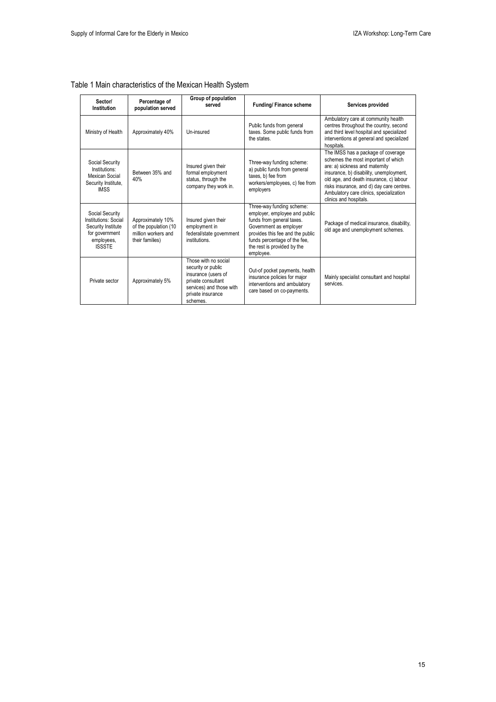| Sector/<br>Institution                                                                                         | Percentage of<br>population served                                                   | Group of population<br>served                                                                                                                        | <b>Funding/Finance scheme</b>                                                                                                                                                                                                     | Services provided                                                                                                                                                                                                                                                                                                   |
|----------------------------------------------------------------------------------------------------------------|--------------------------------------------------------------------------------------|------------------------------------------------------------------------------------------------------------------------------------------------------|-----------------------------------------------------------------------------------------------------------------------------------------------------------------------------------------------------------------------------------|---------------------------------------------------------------------------------------------------------------------------------------------------------------------------------------------------------------------------------------------------------------------------------------------------------------------|
| Ministry of Health                                                                                             | Approximately 40%                                                                    | Un-insured                                                                                                                                           | Public funds from general<br>taxes. Some public funds from<br>the states.                                                                                                                                                         | Ambulatory care at community health<br>centres throughout the country, second<br>and third level hospital and specialized<br>interventions at general and specialized<br>hospitals.                                                                                                                                 |
| Social Security<br>Institutions:<br>Mexican Social<br>Security Institute,<br><b>IMSS</b>                       | Between 35% and<br>40%                                                               | Insured given their<br>formal employment<br>status, through the<br>company they work in.                                                             | Three-way funding scheme:<br>a) public funds from general<br>taxes, b) fee from<br>workers/employees, c) fee from<br>employers                                                                                                    | The IMSS has a package of coverage<br>schemes the most important of which<br>are: a) sickness and maternity<br>insurance, b) disability, unemployment,<br>old age, and death insurance, c) labour<br>risks insurance, and d) day care centres.<br>Ambulatory care clinics, specialization<br>clinics and hospitals. |
| Social Security<br>Institutions: Social<br>Security Institute<br>for government<br>employees.<br><b>ISSSTE</b> | Approximately 10%<br>of the population (10<br>million workers and<br>their families) | Insured given their<br>employment in<br>federal/state government<br>institutions.                                                                    | Three-way funding scheme:<br>employer, employee and public<br>funds from general taxes.<br>Government as employer<br>provides this fee and the public<br>funds percentage of the fee.<br>the rest is provided by the<br>employee. | Package of medical insurance, disability,<br>old age and unemployment schemes.                                                                                                                                                                                                                                      |
| Private sector                                                                                                 | Approximately 5%                                                                     | Those with no social<br>security or public<br>insurance (users of<br>private consultant<br>services) and those with<br>private insurance<br>schemes. | Out-of pocket payments, health<br>insurance policies for major<br>interventions and ambulatory<br>care based on co-payments.                                                                                                      | Mainly specialist consultant and hospital<br>services.                                                                                                                                                                                                                                                              |

# Table 1 Main characteristics of the Mexican Health System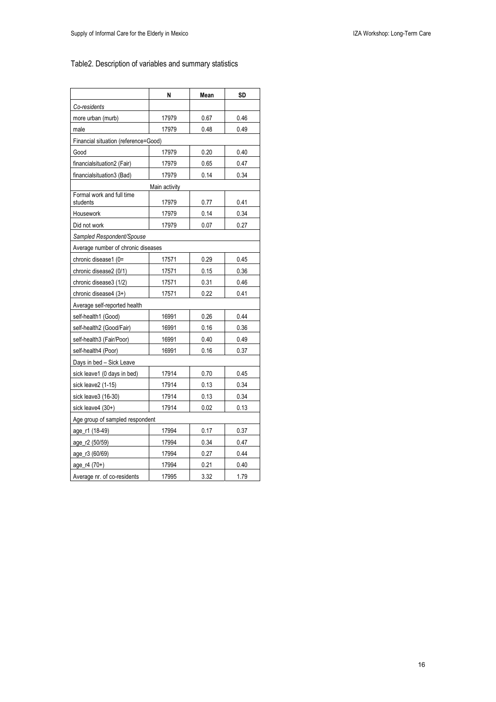# Table2. Description of variables and summary statistics

|                                       | N     | Mean | SD   |
|---------------------------------------|-------|------|------|
| Co-residents                          |       |      |      |
| more urban (murb)                     | 17979 | 0.67 | 0.46 |
| male                                  | 17979 | 0.48 | 0.49 |
| Financial situation (reference=Good)  |       |      |      |
| Good                                  | 17979 | 0.20 | 0.40 |
| financialsituation2 (Fair)            | 17979 | 0.65 | 0.47 |
| financialsituation3 (Bad)             | 17979 | 0.14 | 0.34 |
| Main activity                         |       |      |      |
| Formal work and full time<br>students | 17979 | 0.77 | 0.41 |
| Housework                             | 17979 | 0.14 | 0.34 |
| Did not work                          | 17979 | 0.07 | 0.27 |
| Sampled Respondent/Spouse             |       |      |      |
| Average number of chronic diseases    |       |      |      |
| chronic disease1 (0=                  | 17571 | 0.29 | 0.45 |
| chronic disease2 (0/1)                | 17571 | 0.15 | 0.36 |
| chronic disease3 (1/2)                | 17571 | 0.31 | 0.46 |
| chronic disease4 (3+)                 | 17571 | 0.22 | 0.41 |
| Average self-reported health          |       |      |      |
| self-health1 (Good)                   | 16991 | 0.26 | 0.44 |
| self-health2 (Good/Fair)              | 16991 | 0.16 | 0.36 |
| self-health3 (Fair/Poor)              | 16991 | 0.40 | 0.49 |
| self-health4 (Poor)                   | 16991 | 0.16 | 0.37 |
| Days in bed - Sick Leave              |       |      |      |
| sick leave1 (0 days in bed)           | 17914 | 0.70 | 0.45 |
| sick leave2 (1-15)                    | 17914 | 0.13 | 0.34 |
| sick leave3 (16-30)                   | 17914 | 0.13 | 0.34 |
| sick leave $(30+)$                    | 17914 | 0.02 | 0.13 |
| Age group of sampled respondent       |       |      |      |
| age_r1 (18-49)                        | 17994 | 0.17 | 0.37 |
| age_r2 (50/59)                        | 17994 | 0.34 | 0.47 |
| age_r3 (60/69)                        | 17994 | 0.27 | 0.44 |
| age_r4 (70+)                          | 17994 | 0.21 | 0.40 |
| Average nr. of co-residents           | 17995 | 3.32 | 1.79 |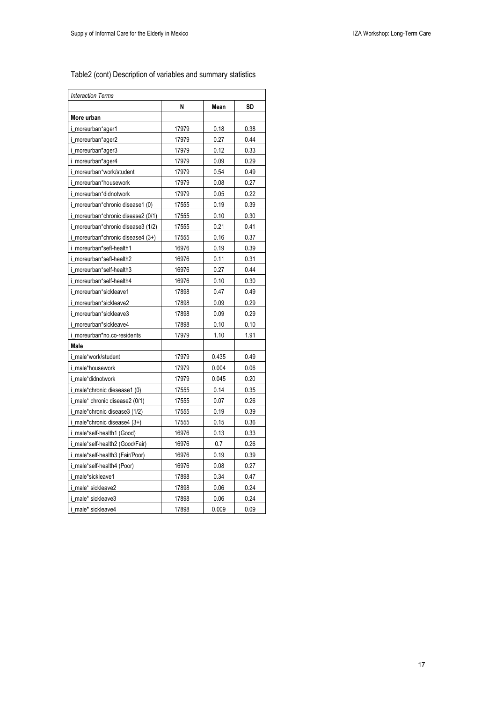$\overline{r}$ 

| <b>Interaction Terms</b>           |       |             |      |  |
|------------------------------------|-------|-------------|------|--|
|                                    | N     | <b>Mean</b> | SD   |  |
| More urban                         |       |             |      |  |
| i_moreurban*ager1                  | 17979 | 0.18        | 0.38 |  |
| i_moreurban*ager2                  | 17979 | 0.27        | 0.44 |  |
| i_moreurban*ager3                  | 17979 | 0.12        | 0.33 |  |
| i_moreurban*ager4                  | 17979 | 0.09        | 0.29 |  |
| i_moreurban*work/student           | 17979 | 0.54        | 0.49 |  |
| i_moreurban*housework              | 17979 | 0.08        | 0.27 |  |
| i_moreurban*didnotwork             | 17979 | 0.05        | 0.22 |  |
| i_moreurban*chronic disease1 (0)   | 17555 | 0.19        | 0.39 |  |
| i_moreurban*chronic disease2 (0/1) | 17555 | 0.10        | 0.30 |  |
| i_moreurban*chronic disease3 (1/2) | 17555 | 0.21        | 0.41 |  |
| i_moreurban*chronic disease4 (3+)  | 17555 | 0.16        | 0.37 |  |
| i moreurban*sefl-health1           | 16976 | 0.19        | 0.39 |  |
| i_moreurban*sefl-health2           | 16976 | 0.11        | 0.31 |  |
| i_moreurban*self-health3           | 16976 | 0.27        | 0.44 |  |
| i_moreurban*self-health4           | 16976 | 0.10        | 0.30 |  |
| i_moreurban*sickleave1             | 17898 | 0.47        | 0.49 |  |
| i_moreurban*sickleave2             | 17898 | 0.09        | 0.29 |  |
| i_moreurban*sickleave3             | 17898 | 0.09        | 0.29 |  |
| i_moreurban*sickleave4             | 17898 | 0.10        | 0.10 |  |
| i_moreurban*no.co-residents        | 17979 | 1.10        | 1.91 |  |
| Male                               |       |             |      |  |
| i male*work/student                | 17979 | 0.435       | 0.49 |  |
| i male*housework                   | 17979 | 0.004       | 0.06 |  |
| i male*didnotwork                  | 17979 | 0.045       | 0.20 |  |
| i_male*chronic diesease1 (0)       | 17555 | 0.14        | 0.35 |  |
| i_male* chronic disease2 (0/1)     | 17555 | 0.07        | 0.26 |  |
| i_male*chronic disease3 (1/2)      | 17555 | 0.19        | 0.39 |  |
| i_male*chronic disease4 (3+)       | 17555 | 0.15        | 0.36 |  |
| i_male*self-health1 (Good)         | 16976 | 0.13        | 0.33 |  |
| i_male*self-health2 (Good/Fair)    | 16976 | 0.7         | 0.26 |  |
| i_male*self-health3 (Fair/Poor)    | 16976 | 0.19        | 0.39 |  |
| i_male*self-health4 (Poor)         | 16976 | 0.08        | 0.27 |  |
| i_male*sickleave1                  | 17898 | 0.34        | 0.47 |  |
| i_male* sickleave2                 | 17898 | 0.06        | 0.24 |  |
| i_male* sickleave3                 | 17898 | 0.06        | 0.24 |  |
| i_male* sickleave4                 | 17898 | 0.009       | 0.09 |  |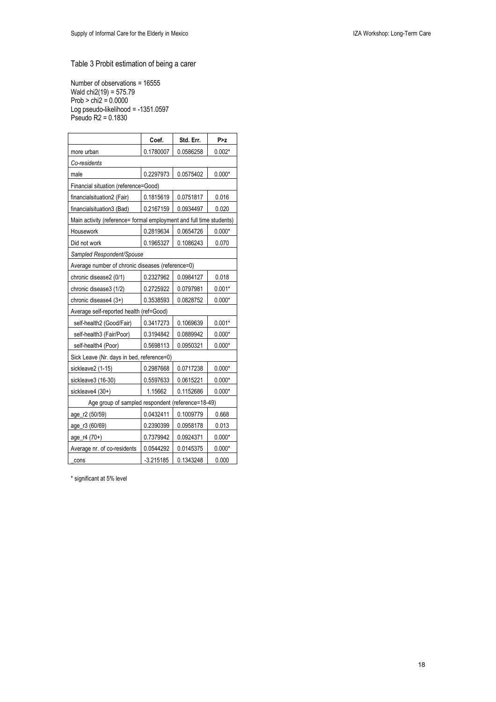## Table 3 Probit estimation of being a carer

Number of observations = 16555 Wald chi2(19) = 575.79 Prob > chi2 = 0.0000 Log pseudo-likelihood = -1351.0597 Pseudo R2 = 0.1830

|                                                                     | Coef.       | Std. Err. | P > z    |
|---------------------------------------------------------------------|-------------|-----------|----------|
| more urban                                                          | 0.1780007   | 0.0586258 | $0.002*$ |
| Co-residents                                                        |             |           |          |
| male                                                                | 0.2297973   | 0.0575402 | $0.000*$ |
| Financial situation (reference=Good)                                |             |           |          |
| financialsituation2 (Fair)                                          | 0.1815619   | 0.0751817 | 0.016    |
| financialsituation3 (Bad)                                           | 0.2167159   | 0.0934497 | 0.020    |
| Main activity (reference= formal employment and full time students) |             |           |          |
| Housework                                                           | 0.2819634   | 0.0654726 | $0.000*$ |
| Did not work                                                        | 0.1965327   | 0.1086243 | 0.070    |
| Sampled Respondent/Spouse                                           |             |           |          |
| Average number of chronic diseases (reference=0)                    |             |           |          |
| chronic disease2 (0/1)                                              | 0.2327962   | 0.0984127 | 0.018    |
| chronic disease3 (1/2)                                              | 0.2725922   | 0.0797981 | $0.001*$ |
| chronic disease4 (3+)                                               | 0.3538593   | 0.0828752 | $0.000*$ |
| Average self-reported health (ref=Good)                             |             |           |          |
| self-health2 (Good/Fair)                                            | 0.3417273   | 0.1069639 | $0.001*$ |
| self-health3 (Fair/Poor)                                            | 0.3194842   | 0.0889942 | $0.000*$ |
| self-health4 (Poor)                                                 | 0.5698113   | 0.0950321 | $0.000*$ |
| Sick Leave (Nr. days in bed, reference=0)                           |             |           |          |
| sickleave2 (1-15)                                                   | 0.2987668   | 0.0717238 | $0.000*$ |
| sickleave3 (16-30)                                                  | 0.5597633   | 0.0615221 | $0.000*$ |
| sickleave4 (30+)                                                    | 1.15662     | 0.1152686 | $0.000*$ |
| Age group of sampled respondent (reference=18-49)                   |             |           |          |
| age_r2 (50/59)                                                      | 0.0432411   | 0.1009779 | 0.668    |
| age_r3 (60/69)                                                      | 0.2390399   | 0.0958178 | 0.013    |
| age_r4 (70+)                                                        | 0.7379942   | 0.0924371 | $0.000*$ |
| Average nr. of co-residents                                         | 0.0544292   | 0.0145375 | $0.000*$ |
| cons                                                                | $-3.215185$ | 0.1343248 | 0.000    |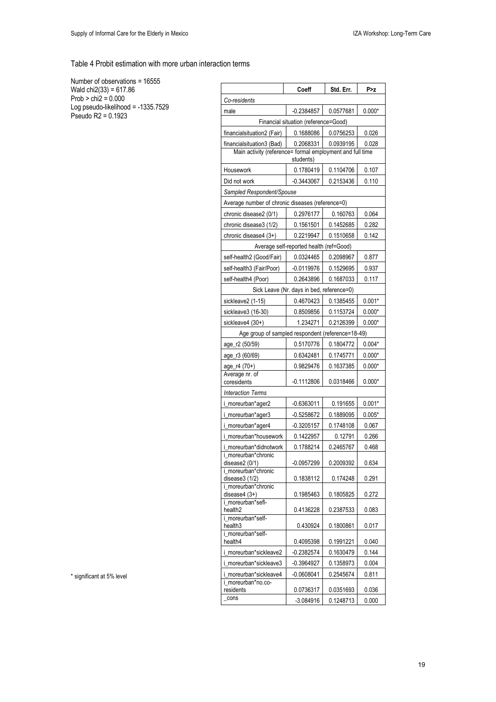Table 4 Probit estimation with more urban interaction terms

Number of observations = 16555 Wald chi2(33) = 617.86 Prob > chi2 = 0.000 Log pseudo-likelihood = -1335.7529 Pseudo R2 = 0.1923

|                                                           | Coeff                                     | Std. Err. | P>z      |
|-----------------------------------------------------------|-------------------------------------------|-----------|----------|
| Co-residents                                              |                                           |           |          |
| male                                                      | $-0.2384857$                              | 0.0577681 | $0.000*$ |
|                                                           | Financial situation (reference=Good)      |           |          |
| financialsituation2 (Fair)                                | 0.1688086                                 | 0.0756253 | 0.026    |
| financialsituation3 (Bad)                                 | 0.2068331                                 | 0.0939195 | 0.028    |
| Main activity (reference= formal employment and full time | students)                                 |           |          |
| Housework                                                 | 0.1780419                                 | 0.1104706 | 0.107    |
| Did not work                                              | $-0.3443067$                              | 0.2153436 | 0.110    |
| Sampled Respondent/Spouse                                 |                                           |           |          |
| Average number of chronic diseases (reference=0)          |                                           |           |          |
| chronic disease2 (0/1)                                    | 0.2976177                                 | 0.160763  | 0.064    |
| chronic disease3 (1/2)                                    | 0.1561501                                 | 0.1452685 | 0.282    |
| chronic disease4 (3+)                                     | 0.2219947                                 | 0.1510658 | 0.142    |
|                                                           | Average self-reported health (ref=Good)   |           |          |
| self-health2 (Good/Fair)                                  | 0.0324465                                 | 0.2098967 | 0.877    |
| self-health3 (Fair/Poor)                                  | $-0.0119976$                              | 0.1529695 | 0.937    |
| self-health4 (Poor)                                       | 0.2643896                                 | 0.1687033 | 0.117    |
|                                                           | Sick Leave (Nr. days in bed, reference=0) |           |          |
| sickleave2 (1-15)                                         | 0.4670423                                 | 0.1385455 | $0.001*$ |
| sickleave3 (16-30)                                        | 0.8509856                                 | 0.1153724 | $0.000*$ |
| sickleave4 (30+)                                          | 1.234271                                  | 0.2126399 | $0.000*$ |
| Age group of sampled respondent (reference=18-49)         |                                           |           |          |
| age_r2 (50/59)                                            | 0.5170776                                 | 0.1804772 | $0.004*$ |
| age_r3 (60/69)                                            | 0.6342481                                 | 0.1745771 | $0.000*$ |
| age_r4 (70+)<br>Average nr. of                            | 0.9829476                                 | 0.1637385 | $0.000*$ |
| coresidents                                               | $-0.1112806$                              | 0.0318466 | $0.000*$ |
| <b>Interaction Terms</b>                                  |                                           |           |          |
| i_moreurban*ager2                                         | $-0.6363011$                              | 0.191655  | $0.001*$ |
| i_moreurban*ager3                                         | $-0.5258672$                              | 0.1889095 | $0.005*$ |
| i_moreurban*ager4                                         | $-0.3205157$                              | 0.1748108 | 0.067    |
| i moreurban*housework                                     | 0.1422957                                 | 0.12791   | 0.266    |
| i moreurban*didnotwork                                    | 0.1788214                                 | 0.2465767 | 0.468    |
| i_moreurban*chronic<br>disease $2(0/1)$                   | -0.0957299                                | 0.2009392 | 0.634    |
| i moreurban*chronic<br>disease $3(1/2)$                   | 0.1838112                                 | 0.174248  | 0.291    |
| i moreurban*chronic                                       |                                           |           |          |
| disease $4(3+)$                                           | 0.1985463                                 | 0.1805825 | 0.272    |
| i_moreurban*sefl-<br>health <sub>2</sub>                  | 0.4136228                                 | 0.2387533 | 0.083    |
| i_moreurban*self-<br>health3                              | 0.430924                                  | 0.1800861 | 0.017    |
| i_moreurban*self-<br>health4                              | 0.4095398                                 | 0.1991221 | 0.040    |
| i moreurban*sickleave2                                    | $-0.2382574$                              | 0.1630479 | 0.144    |
| i_moreurban*sickleave3                                    | -0.3964927                                | 0.1358973 | 0.004    |
| i_moreurban*sickleave4<br>i_moreurban*no.co-              | $-0.0608041$                              | 0.2545674 | 0.811    |
| residents                                                 | 0.0736317                                 | 0.0351693 | 0.036    |
| cons                                                      | -3.084916                                 | 0.1248713 | 0.000    |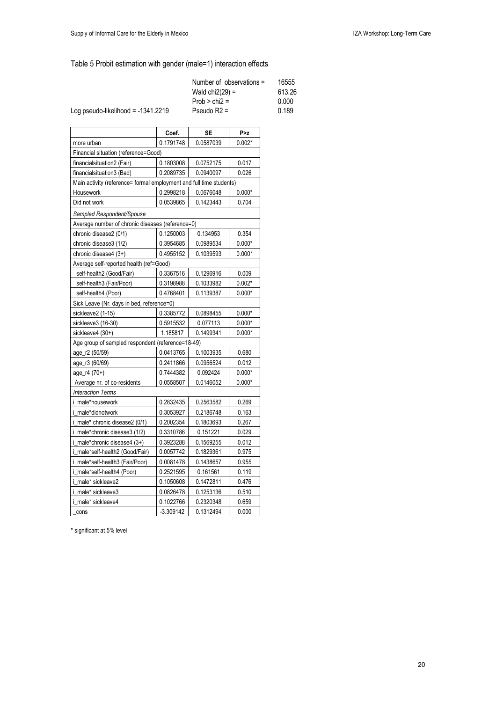# Table 5 Probit estimation with gender (male=1) interaction effects

| Number of observations $=$ | 16555  |
|----------------------------|--------|
| Wald $\text{chi2}(29) =$   | 613.26 |
| $Prob > chi2 =$            | 0.000  |
| Pseudo $R2 =$              | 0.189  |
|                            |        |

|                                                                     | Coef.       | <b>SE</b> | P > z    |  |
|---------------------------------------------------------------------|-------------|-----------|----------|--|
| more urban                                                          | 0.1791748   | 0.0587039 | $0.002*$ |  |
| Financial situation (reference=Good)                                |             |           |          |  |
| financialsituation2 (Fair)                                          | 0.1803008   | 0.0752175 | 0.017    |  |
| financialsituation3 (Bad)                                           | 0.2089735   | 0.0940097 | 0.026    |  |
| Main activity (reference= formal employment and full time students) |             |           |          |  |
| Housework                                                           | 0.2998218   | 0.0676048 | $0.000*$ |  |
| Did not work                                                        | 0.0539865   | 0.1423443 | 0.704    |  |
| Sampled Respondent/Spouse                                           |             |           |          |  |
| Average number of chronic diseases (reference=0)                    |             |           |          |  |
| chronic disease2 (0/1)                                              | 0.1250003   | 0.134953  | 0.354    |  |
| chronic disease3 (1/2)                                              | 0.3954685   | 0.0989534 | $0.000*$ |  |
| chronic disease4 (3+)                                               | 0.4955152   | 0.1039593 | $0.000*$ |  |
| Average self-reported health (ref=Good)                             |             |           |          |  |
| self-health2 (Good/Fair)                                            | 0.3367516   | 0.1296916 | 0.009    |  |
| self-health3 (Fair/Poor)                                            | 0.3198988   | 0.1033982 | $0.002*$ |  |
| self-health4 (Poor)                                                 | 0.4768401   | 0.1139387 | $0.000*$ |  |
| Sick Leave (Nr. days in bed, reference=0)                           |             |           |          |  |
| sickleave2 (1-15)                                                   | 0.3385772   | 0.0898455 | $0.000*$ |  |
| sickleave3 (16-30)                                                  | 0.5915532   | 0.077113  | $0.000*$ |  |
| sickleave4 (30+)                                                    | 1.185817    | 0.1499341 | $0.000*$ |  |
| Age group of sampled respondent (reference=18-49)                   |             |           |          |  |
| age_r2 (50/59)                                                      | 0.0413765   | 0.1003935 | 0.680    |  |
| age_r3 (60/69)                                                      | 0.2411866   | 0.0956524 | 0.012    |  |
| age_r4 (70+)                                                        | 0.7444382   | 0.092424  | $0.000*$ |  |
| Average nr. of co-residents                                         | 0.0558507   | 0.0146052 | $0.000*$ |  |
| <b>Interaction Terms</b>                                            |             |           |          |  |
| i male*housework                                                    | 0.2832435   | 0.2563582 | 0.269    |  |
| i male*didnotwork                                                   | 0.3053927   | 0.2186748 | 0.163    |  |
| i_male* chronic disease2 (0/1)                                      | 0.2002354   | 0.1803693 | 0.267    |  |
| i_male*chronic disease3 (1/2)                                       | 0.3310786   | 0.151221  | 0.029    |  |
| i_male*chronic disease4 (3+)                                        | 0.3923288   | 0.1569255 | 0.012    |  |
| i_male*self-health2 (Good/Fair)                                     | 0.0057742   | 0.1829361 | 0.975    |  |
| i_male*self-health3 (Fair/Poor)                                     | 0.0081478   | 0.1438657 | 0.955    |  |
| i_male*self-health4 (Poor)                                          | 0.2521595   | 0.161561  | 0.119    |  |
| i_male* sickleave2                                                  | 0.1050608   | 0.1472811 | 0.476    |  |
| i male* sickleave3                                                  | 0.0826478   | 0.1253136 | 0.510    |  |
| i male* sickleave4                                                  | 0.1022766   | 0.2320348 | 0.659    |  |
| cons                                                                | $-3.309142$ | 0.1312494 | 0.000    |  |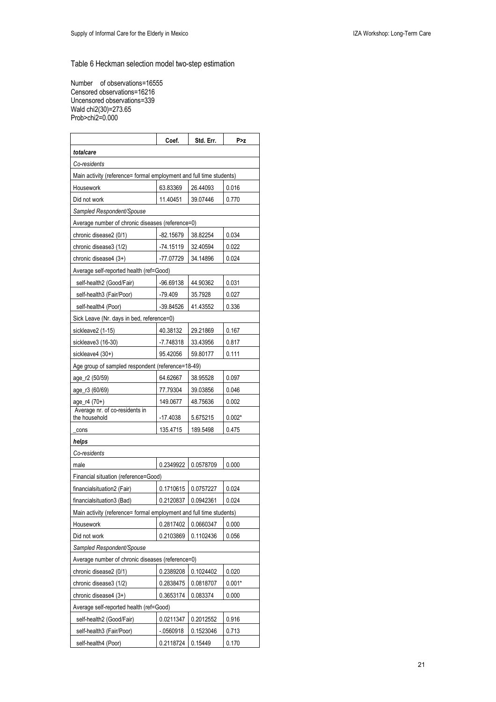Table 6 Heckman selection model two-step estimation

 $\overline{\phantom{a}}$ 

 $\overline{\phantom{a}}$ 

 $\mathbf{r}$ 

Number of observations=16555 Censored observations=16216 Uncensored observations=339 Wald chi2(30)=273.65 Prob>chi2=0.000

Ť

|                                                                     | Coef.       | Std. Err. | P > z    |  |
|---------------------------------------------------------------------|-------------|-----------|----------|--|
| totalcare                                                           |             |           |          |  |
| Co-residents                                                        |             |           |          |  |
| Main activity (reference= formal employment and full time students) |             |           |          |  |
| Housework                                                           | 63.83369    | 26.44093  | 0.016    |  |
| Did not work                                                        | 11.40451    | 39.07446  | 0.770    |  |
| Sampled Respondent/Spouse                                           |             |           |          |  |
| Average number of chronic diseases (reference=0)                    |             |           |          |  |
| chronic disease2 (0/1)                                              | -82.15679   | 38.82254  | 0.034    |  |
| chronic disease3 (1/2)                                              | -74.15119   | 32.40594  | 0.022    |  |
| chronic disease4 (3+)                                               | -77.07729   | 34.14896  | 0.024    |  |
| Average self-reported health (ref=Good)                             |             |           |          |  |
| self-health2 (Good/Fair)                                            | -96.69138   | 44.90362  | 0.031    |  |
| self-health3 (Fair/Poor)                                            | $-79.409$   | 35.7928   | 0.027    |  |
| self-health4 (Poor)                                                 | $-39.84526$ | 41.43552  | 0.336    |  |
| Sick Leave (Nr. days in bed, reference=0)                           |             |           |          |  |
| sickleave2 (1-15)                                                   | 40.38132    | 29.21869  | 0.167    |  |
| sickleave3 (16-30)                                                  | $-7.748318$ | 33.43956  | 0.817    |  |
| sickleave4 (30+)                                                    | 95.42056    | 59.80177  | 0.111    |  |
| Age group of sampled respondent (reference=18-49)                   |             |           |          |  |
| age_r2 (50/59)                                                      | 64.62667    | 38.95528  | 0.097    |  |
| age_r3 (60/69)                                                      | 77.79304    | 39.03856  | 0.046    |  |
| age_r4 (70+)                                                        | 149.0677    | 48.75636  | 0.002    |  |
| Average nr. of co-residents in<br>the household                     | $-17.4038$  | 5.675215  | $0.002*$ |  |
| cons                                                                | 135.4715    | 189.5498  | 0.475    |  |
| helps                                                               |             |           |          |  |
| Co-residents                                                        |             |           |          |  |
| male                                                                | 0.2349922   | 0.0578709 | 0.000    |  |
| Financial situation (reference=Good)                                |             |           |          |  |
| financialsituation2 (Fair)                                          | 0.1710615   | 0.0757227 | 0.024    |  |
| financialsituation3 (Bad)                                           | 0.2120837   | 0.0942361 | 0.024    |  |
| Main activity (reference= formal employment and full time students) |             |           |          |  |
| Housework                                                           | 0.2817402   | 0.0660347 | 0.000    |  |
| Did not work                                                        | 0.2103869   | 0.1102436 | 0.056    |  |
| Sampled Respondent/Spouse                                           |             |           |          |  |
| Average number of chronic diseases (reference=0)                    |             |           |          |  |
| chronic disease2 (0/1)                                              | 0.2389208   | 0.1024402 | 0.020    |  |
| chronic disease3 (1/2)                                              | 0.2838475   | 0.0818707 | $0.001*$ |  |
| chronic disease4 (3+)                                               | 0.3653174   | 0.083374  | 0.000    |  |
| Average self-reported health (ref=Good)                             |             |           |          |  |
| self-health2 (Good/Fair)                                            | 0.0211347   | 0.2012552 | 0.916    |  |
| self-health3 (Fair/Poor)                                            | $-0560918$  | 0.1523046 | 0.713    |  |
| self-health4 (Poor)                                                 | 0.2118724   | 0.15449   | 0.170    |  |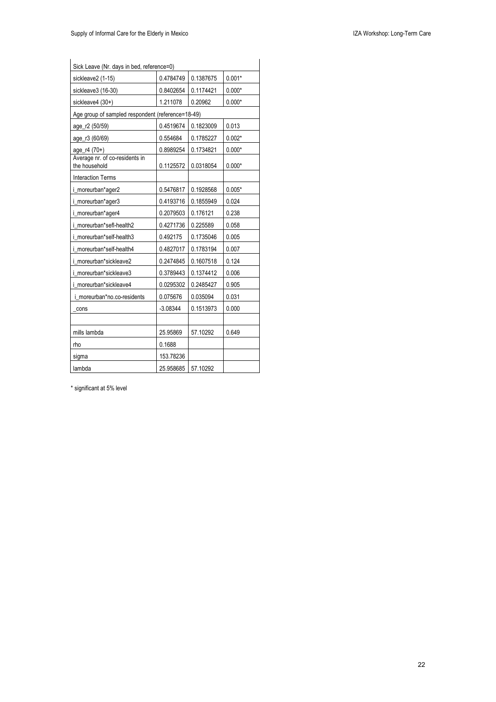| Sick Leave (Nr. days in bed, reference=0)         |            |           |          |  |  |
|---------------------------------------------------|------------|-----------|----------|--|--|
| sickleave2 (1-15)                                 | 0.4784749  | 0.1387675 | $0.001*$ |  |  |
| sickleave3 (16-30)                                | 0.8402654  | 0.1174421 | $0.000*$ |  |  |
| sickleave4 (30+)                                  | 1.211078   | 0.20962   | $0.000*$ |  |  |
| Age group of sampled respondent (reference=18-49) |            |           |          |  |  |
| age_r2 (50/59)                                    | 0.4519674  | 0.1823009 | 0.013    |  |  |
| age_r3 (60/69)                                    | 0.554684   | 0.1785227 | $0.002*$ |  |  |
| age_r4 (70+)                                      | 0.8989254  | 0.1734821 | $0.000*$ |  |  |
| Average nr. of co-residents in<br>the household   | 0.1125572  | 0.0318054 | $0.000*$ |  |  |
| <b>Interaction Terms</b>                          |            |           |          |  |  |
| i_moreurban*ager2                                 | 0.5476817  | 0.1928568 | $0.005*$ |  |  |
| i_moreurban*ager3                                 | 0.4193716  | 0.1855949 | 0.024    |  |  |
| i_moreurban*ager4                                 | 0.2079503  | 0.176121  | 0.238    |  |  |
| i moreurban*sefl-health2                          | 0.4271736  | 0.225589  | 0.058    |  |  |
| i moreurban*self-health3                          | 0.492175   | 0.1735046 | 0.005    |  |  |
| i moreurban*self-health4                          | 0.4827017  | 0.1783194 | 0.007    |  |  |
| i moreurban*sickleave2                            | 0.2474845  | 0.1607518 | 0.124    |  |  |
| i moreurban*sickleave3                            | 0.3789443  | 0.1374412 | 0.006    |  |  |
| i moreurban*sickleave4                            | 0.0295302  | 0.2485427 | 0.905    |  |  |
| i moreurban*no.co-residents                       | 0.075676   | 0.035094  | 0.031    |  |  |
| cons                                              | $-3.08344$ | 0.1513973 | 0.000    |  |  |
|                                                   |            |           |          |  |  |
| mills lambda                                      | 25.95869   | 57.10292  | 0.649    |  |  |
| rho                                               | 0.1688     |           |          |  |  |
| sigma                                             | 153.78236  |           |          |  |  |
| lambda                                            | 25.958685  | 57.10292  |          |  |  |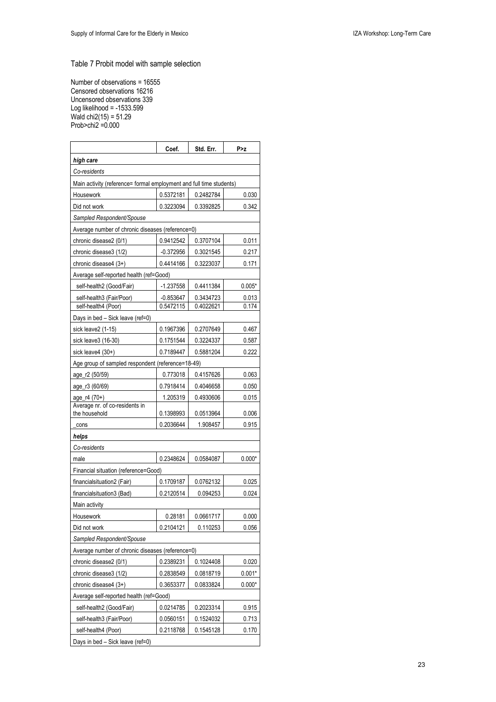Table 7 Probit model with sample selection

Number of observations = 16555 Censored observations 16216 Uncensored observations 339 Log likelihood = -1533.599 Wald chi2(15) = 51.29 Prob>chi2 =0.000

|                                                                     | Coef.       | Std. Err. | P>z      |
|---------------------------------------------------------------------|-------------|-----------|----------|
| high care                                                           |             |           |          |
| Co-residents                                                        |             |           |          |
| Main activity (reference= formal employment and full time students) |             |           |          |
| Housework                                                           | 0.5372181   | 0.2482784 | 0.030    |
| Did not work                                                        | 0.3223094   | 0.3392825 | 0.342    |
| Sampled Respondent/Spouse                                           |             |           |          |
| Average number of chronic diseases (reference=0)                    |             |           |          |
| chronic disease2 (0/1)                                              | 0.9412542   | 0.3707104 | 0.011    |
| chronic disease3 (1/2)                                              | $-0.372956$ | 0.3021545 | 0.217    |
| chronic disease4 (3+)                                               | 0.4414166   | 0.3223037 | 0.171    |
| Average self-reported health (ref=Good)                             |             |           |          |
| self-health2 (Good/Fair)                                            | $-1.237558$ | 0.4411384 | $0.005*$ |
| self-health3 (Fair/Poor)                                            | -0.853647   | 0.3434723 | 0.013    |
| self-health4 (Poor)                                                 | 0.5472115   | 0.4022621 | 0.174    |
| Days in bed - Sick leave (ref=0)                                    |             |           |          |
| sick leave2 (1-15)                                                  | 0.1967396   | 0.2707649 | 0.467    |
| sick leave3 (16-30)                                                 | 0.1751544   | 0.3224337 | 0.587    |
| sick leave4 (30+)                                                   | 0.7189447   | 0.5881204 | 0.222    |
| Age group of sampled respondent (reference=18-49)                   |             |           |          |
| age_r2 (50/59)                                                      | 0.773018    | 0.4157626 | 0.063    |
| age_r3 (60/69)                                                      | 0.7918414   | 0.4046658 | 0.050    |
| age_r4 (70+)                                                        | 1.205319    | 0.4930606 | 0.015    |
| Average nr. of co-residents in<br>the household                     | 0.1398993   | 0.0513964 | 0.006    |
| cons                                                                | 0.2036644   | 1.908457  | 0.915    |
| helps                                                               |             |           |          |
| Co-residents                                                        |             |           |          |
| male                                                                | 0.2348624   | 0.0584087 | $0.000*$ |
| Financial situation (reference=Good)                                |             |           |          |
| financialsituation2 (Fair)                                          | 0.1709187   | 0.0762132 | 0.025    |
| financialsituation3 (Bad)                                           | 0.2120514   | 0.094253  | 0.024    |
| Main activity                                                       |             |           |          |
| Housework                                                           | 0.28181     | 0.0661717 | 0.000    |
| Did not work                                                        | 0.2104121   | 0.110253  | 0.056    |
| Sampled Respondent/Spouse                                           |             |           |          |
| Average number of chronic diseases (reference=0)                    |             |           |          |
| chronic disease2 (0/1)                                              | 0.2389231   | 0.1024408 | 0.020    |
| chronic disease3 (1/2)                                              | 0.2838549   | 0.0818719 | $0.001*$ |
| chronic disease4 (3+)                                               | 0.3653377   | 0.0833824 | $0.000*$ |
| Average self-reported health (ref=Good)                             |             |           |          |
| self-health2 (Good/Fair)                                            | 0.0214785   | 0.2023314 | 0.915    |
| self-health3 (Fair/Poor)                                            | 0.0560151   | 0.1524032 | 0.713    |
| self-health4 (Poor)                                                 | 0.2118768   | 0.1545128 | 0.170    |
| Days in bed - Sick leave (ref=0)                                    |             |           |          |